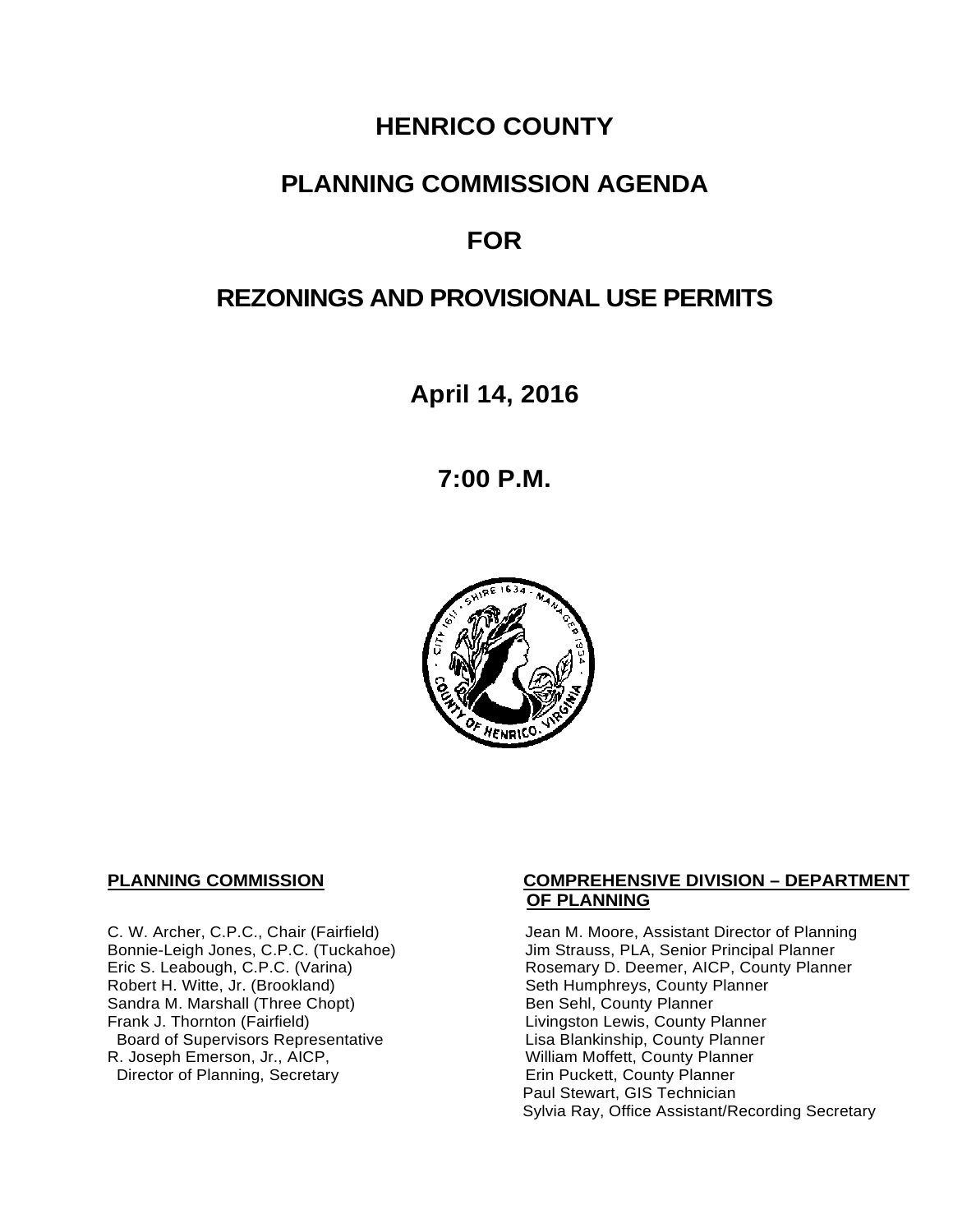# **HENRICO COUNTY**

## **PLANNING COMMISSION AGENDA**

# **FOR**

# **REZONINGS AND PROVISIONAL USE PERMITS**

**April 14, 2016**

**7:00 P.M.**



Sandra M. Marshall (Three Chopt)<br>Frank J. Thornton (Fairfield) Board of Supervisors Representative Fig. 2016 Lisa Blankinship, County Planner<br>L. Joseph Emerson, Jr., AICP, North County Planner (Nilliam Moffett, County Planner) R. Joseph Emerson, Jr., AICP, <br>
Director of Planning, Secretary 
William Moffett, County Planner Director of Planning, Secretary

#### **PLANNING COMMISSION COMPREHENSIVE DIVISION – DEPARTMENT OF PLANNING**

C. W. Archer, C.P.C., Chair (Fairfield) Jean M. Moore, Assistant Director of Planning<br>Bonnie-Leigh Jones, C.P.C. (Tuckahoe) Jim Strauss, PLA, Senior Principal Planner Bonnie-Leigh Jones, C.P.C. (Tuckahoe) Jim Strauss, PLA, Senior Principal Planner<br>Eric S. Leabough, C.P.C. (Varina) Rosemary D. Deemer, AICP, County Planne Eric S. Leabough, C.P.C. (Varina) The Rosemary D. Deemer, AICP, County Planner<br>Robert H. Witte, Jr. (Brookland) The Seth Humphreys, County Planner Seth Humphreys, County Planner<br>Ben Sehl, County Planner Livingston Lewis, County Planner<br>Lisa Blankinship, County Planner Paul Stewart, GIS Technician Sylvia Ray, Office Assistant/Recording Secretary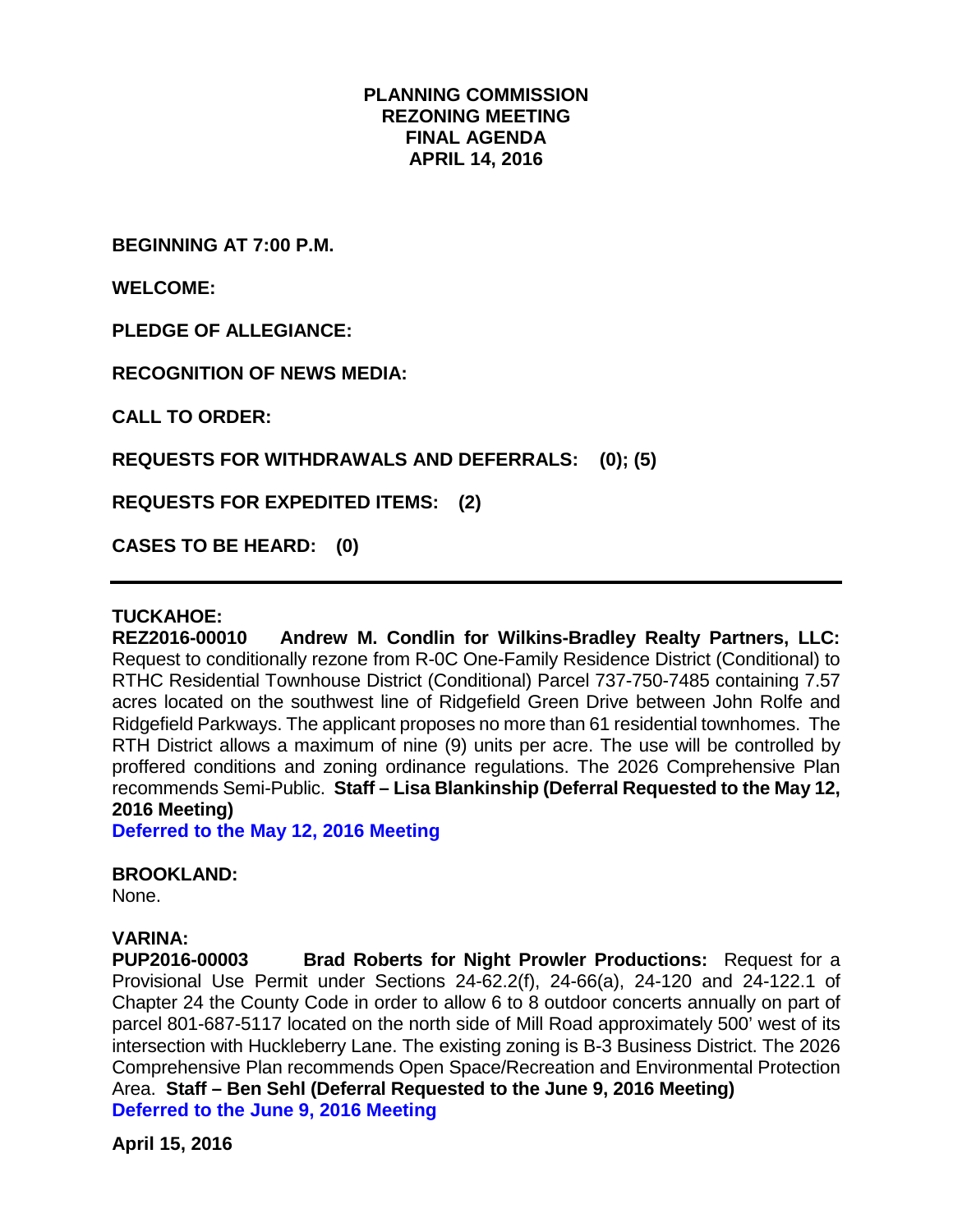#### **PLANNING COMMISSION REZONING MEETING FINAL AGENDA APRIL 14, 2016**

**BEGINNING AT 7:00 P.M.**

**WELCOME:**

**PLEDGE OF ALLEGIANCE:**

**RECOGNITION OF NEWS MEDIA:**

**CALL TO ORDER:**

**REQUESTS FOR WITHDRAWALS AND DEFERRALS: (0); (5)**

**REQUESTS FOR EXPEDITED ITEMS: (2)**

**CASES TO BE HEARD: (0)**

#### **TUCKAHOE:**

**REZ2016-00010 Andrew M. Condlin for Wilkins-Bradley Realty Partners, LLC:** Request to conditionally rezone from R-0C One-Family Residence District (Conditional) to RTHC Residential Townhouse District (Conditional) Parcel 737-750-7485 containing 7.57 acres located on the southwest line of Ridgefield Green Drive between John Rolfe and Ridgefield Parkways. The applicant proposes no more than 61 residential townhomes. The RTH District allows a maximum of nine (9) units per acre. The use will be controlled by proffered conditions and zoning ordinance regulations. The 2026 Comprehensive Plan recommends Semi-Public. **Staff – Lisa Blankinship (Deferral Requested to the May 12, 2016 Meeting)**

**Deferred to the May 12, 2016 Meeting**

#### **BROOKLAND:**

None.

**VARINA: Brad Roberts for Night Prowler Productions:** Request for a Provisional Use Permit under Sections 24-62.2(f), 24-66(a), 24-120 and 24-122.1 of Chapter 24 the County Code in order to allow 6 to 8 outdoor concerts annually on part of parcel 801-687-5117 located on the north side of Mill Road approximately 500' west of its intersection with Huckleberry Lane. The existing zoning is B-3 Business District. The 2026 Comprehensive Plan recommends Open Space/Recreation and Environmental Protection Area. **Staff – Ben Sehl (Deferral Requested to the June 9, 2016 Meeting) Deferred to the June 9, 2016 Meeting**

**April 15, 2016**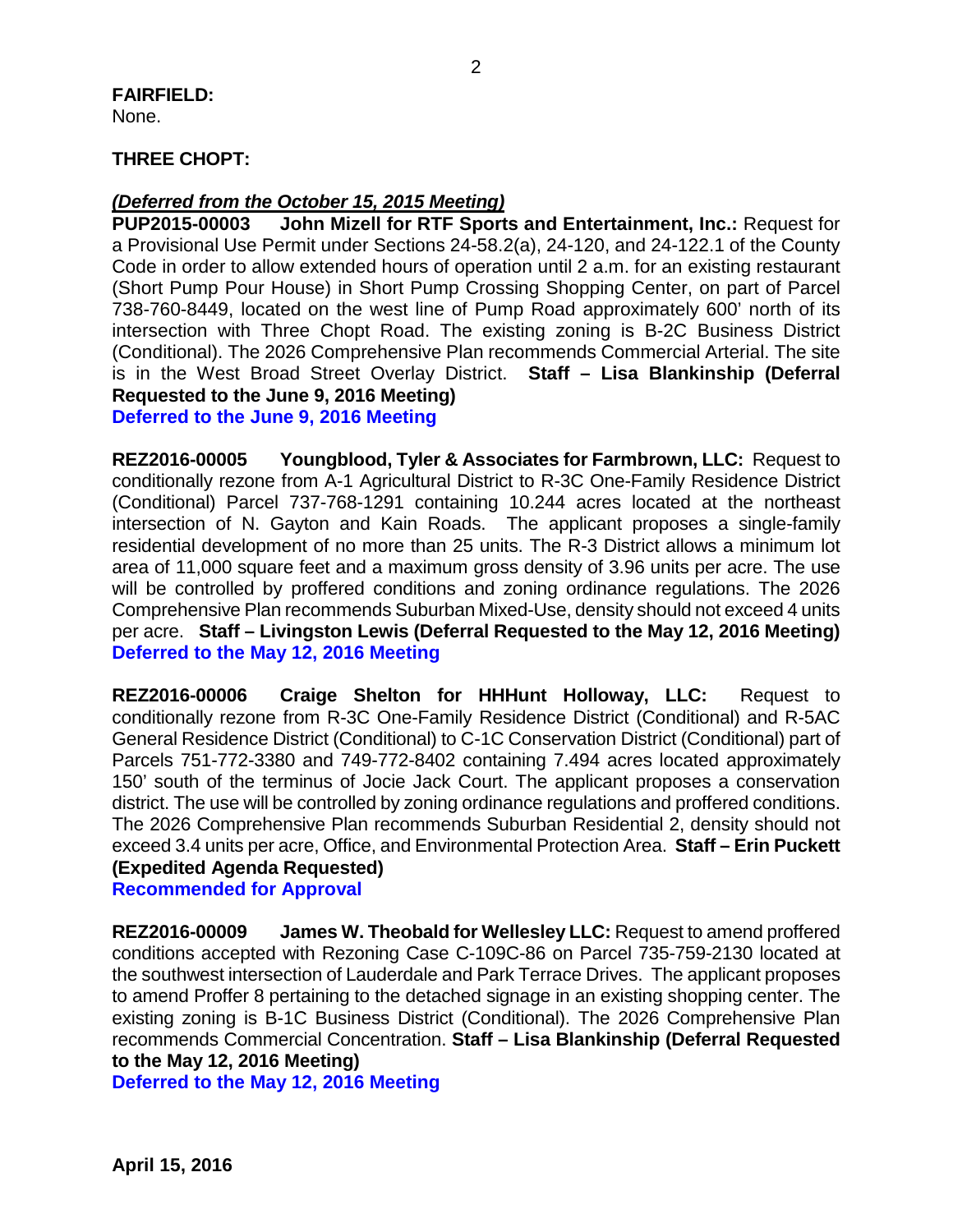#### **FAIRFIELD:**  None.

### **THREE CHOPT:**

# *(Deferred from the October 15, 2015 Meeting)*

**John Mizell for RTF Sports and Entertainment, Inc.: Request for** a Provisional Use Permit under Sections 24-58.2(a), 24-120, and 24-122.1 of the County Code in order to allow extended hours of operation until 2 a.m. for an existing restaurant (Short Pump Pour House) in Short Pump Crossing Shopping Center, on part of Parcel 738-760-8449, located on the west line of Pump Road approximately 600' north of its intersection with Three Chopt Road. The existing zoning is B-2C Business District (Conditional). The 2026 Comprehensive Plan recommends Commercial Arterial. The site is in the West Broad Street Overlay District. **Staff – Lisa Blankinship (Deferral Requested to the June 9, 2016 Meeting)**

**Deferred to the June 9, 2016 Meeting**

**REZ2016-00005 Youngblood, Tyler & Associates for Farmbrown, LLC:** Request to conditionally rezone from A-1 Agricultural District to R-3C One-Family Residence District (Conditional) Parcel 737-768-1291 containing 10.244 acres located at the northeast intersection of N. Gayton and Kain Roads. The applicant proposes a single-family residential development of no more than 25 units. The R-3 District allows a minimum lot area of 11,000 square feet and a maximum gross density of 3.96 units per acre. The use will be controlled by proffered conditions and zoning ordinance regulations. The 2026 Comprehensive Plan recommends Suburban Mixed-Use, density should not exceed 4 units per acre. **Staff – Livingston Lewis (Deferral Requested to the May 12, 2016 Meeting) Deferred to the May 12, 2016 Meeting**

**REZ2016-00006 Craige Shelton for HHHunt Holloway, LLC:** Request to conditionally rezone from R-3C One-Family Residence District (Conditional) and R-5AC General Residence District (Conditional) to C-1C Conservation District (Conditional) part of Parcels 751-772-3380 and 749-772-8402 containing 7.494 acres located approximately 150' south of the terminus of Jocie Jack Court. The applicant proposes a conservation district. The use will be controlled by zoning ordinance regulations and proffered conditions. The 2026 Comprehensive Plan recommends Suburban Residential 2, density should not exceed 3.4 units per acre, Office, and Environmental Protection Area. **Staff – Erin Puckett (Expedited Agenda Requested)**

#### **Recommended for Approval**

**REZ2016-00009 James W. Theobald for Wellesley LLC:** Request to amend proffered conditions accepted with Rezoning Case C-109C-86 on Parcel 735-759-2130 located at the southwest intersection of Lauderdale and Park Terrace Drives. The applicant proposes to amend Proffer 8 pertaining to the detached signage in an existing shopping center. The existing zoning is B-1C Business District (Conditional). The 2026 Comprehensive Plan recommends Commercial Concentration. **Staff – Lisa Blankinship (Deferral Requested to the May 12, 2016 Meeting)**

**Deferred to the May 12, 2016 Meeting**